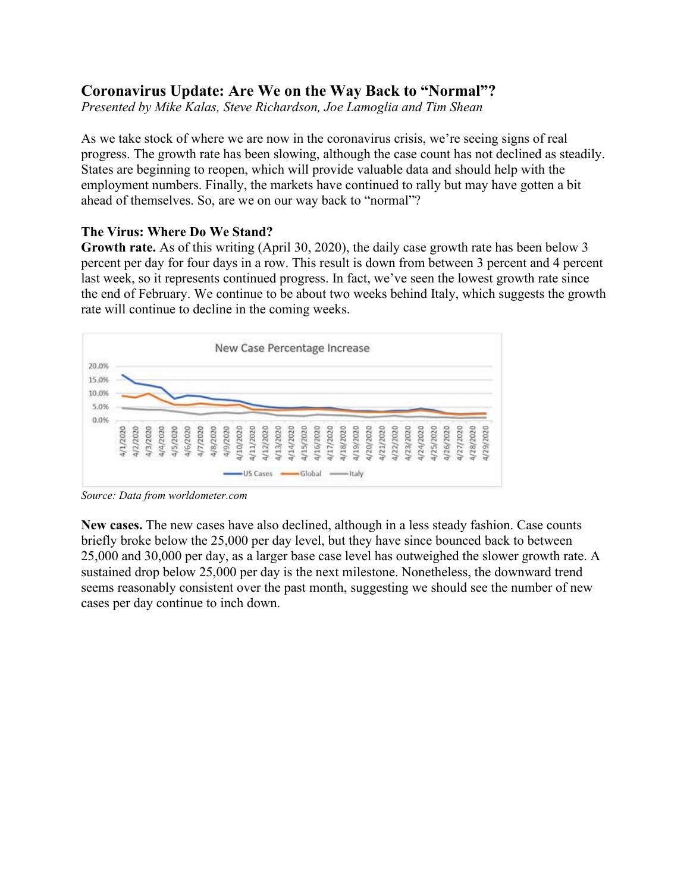# **Coronavirus Update: Are We on the Way Back to "Normal"?**

*Presented by Mike Kalas, Steve Richardson, Joe Lamoglia and Tim Shean*

As we take stock of where we are now in the coronavirus crisis, we're seeing signs of real progress. The growth rate has been slowing, although the case count has not declined as steadily. States are beginning to reopen, which will provide valuable data and should help with the employment numbers. Finally, the markets have continued to rally but may have gotten a bit ahead of themselves. So, are we on our way back to "normal"?

### **The Virus: Where Do We Stand?**

**Growth rate.** As of this writing (April 30, 2020), the daily case growth rate has been below 3 percent per day for four days in a row. This result is down from between 3 percent and 4 percent last week, so it represents continued progress. In fact, we've seen the lowest growth rate since the end of February. We continue to be about two weeks behind Italy, which suggests the growth rate will continue to decline in the coming weeks.



*Source: Data from [worldometer.com](https://www.worldometers.info/coronavirus/)*

**New cases.** The new cases have also declined, although in a less steady fashion. Case counts briefly broke below the 25,000 per day level, but they have since bounced back to between 25,000 and 30,000 per day, as a larger base case level has outweighed the slower growth rate. A sustained drop below 25,000 per day is the next milestone. Nonetheless, the downward trend seems reasonably consistent over the past month, suggesting we should see the number of new cases per day continue to inch down.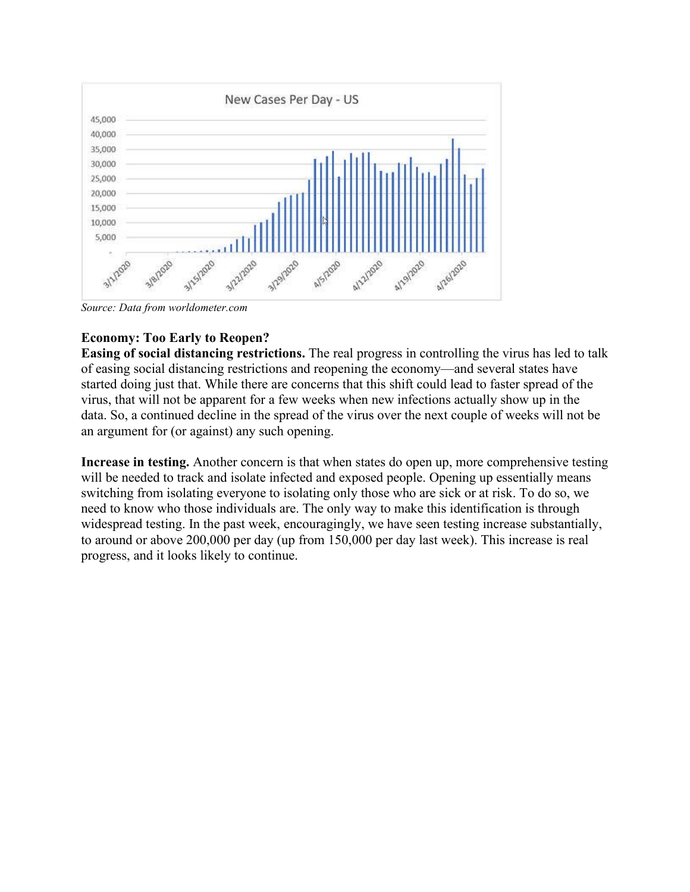

*Source: Data from [worldometer.com](https://www.worldometers.info/coronavirus/)*

## **Economy: Too Early to Reopen?**

**Easing of social distancing restrictions.** The real progress in controlling the virus has led to talk of easing social distancing restrictions and reopening the economy—and several states have started doing just that. While there are concerns that this shift could lead to faster spread of the virus, that will not be apparent for a few weeks when new infections actually show up in the data. So, a continued decline in the spread of the virus over the next couple of weeks will not be an argument for (or against) any such opening.

**Increase in testing.** Another concern is that when states do open up, more comprehensive testing will be needed to track and isolate infected and exposed people. Opening up essentially means switching from isolating everyone to isolating only those who are sick or at risk. To do so, we need to know who those individuals are. The only way to make this identification is through widespread testing. In the past week, encouragingly, we have seen testing increase substantially, to around or above 200,000 per day (up from 150,000 per day last week). This increase is real progress, and it looks likely to continue.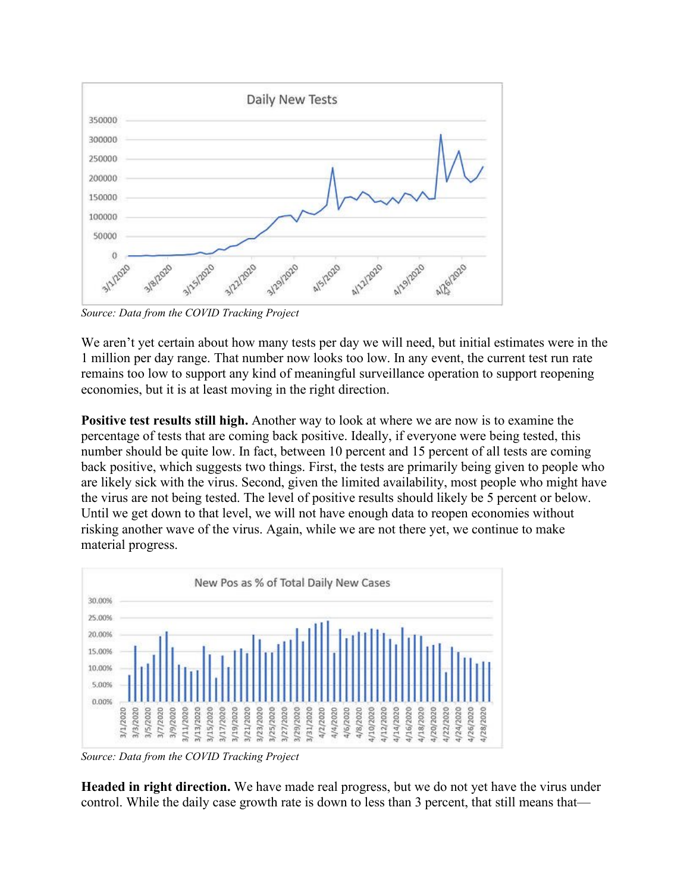

*Source: Data from the [COVID Tracking Project](https://covidtracking.com/)*

We aren't yet certain about how many tests per day we will need, but initial estimates were in the 1 million per day range. That number now looks too low. In any event, the current test run rate remains too low to support any kind of meaningful surveillance operation to support reopening economies, but it is at least moving in the right direction.

**Positive test results still high.** Another way to look at where we are now is to examine the percentage of tests that are coming back positive. Ideally, if everyone were being tested, this number should be quite low. In fact, between 10 percent and 15 percent of all tests are coming back positive, which suggests two things. First, the tests are primarily being given to people who are likely sick with the virus. Second, given the limited availability, most people who might have the virus are not being tested. The level of positive results should likely be 5 percent or below. Until we get down to that level, we will not have enough data to reopen economies without risking another wave of the virus. Again, while we are not there yet, we continue to make material progress.



*Source: Data from the [COVID Tracking Project](https://covidtracking.com/)*

**Headed in right direction.** We have made real progress, but we do not yet have the virus under control. While the daily case growth rate is down to less than 3 percent, that still means that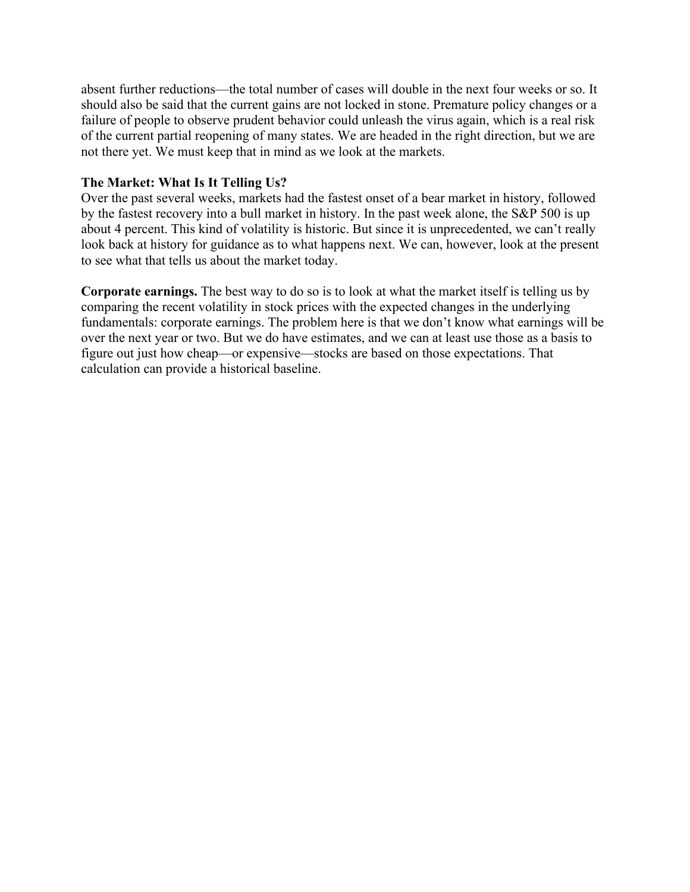absent further reductions—the total number of cases will double in the next four weeks or so. It should also be said that the current gains are not locked in stone. Premature policy changes or a failure of people to observe prudent behavior could unleash the virus again, which is a real risk of the current partial reopening of many states. We are headed in the right direction, but we are not there yet. We must keep that in mind as we look at the markets.

#### **The Market: What Is It Telling Us?**

Over the past several weeks, markets had the fastest onset of a bear market in history, followed by the fastest recovery into a bull market in history. In the past week alone, the S&P 500 is up about 4 percent. This kind of volatility is historic. But since it is unprecedented, we can't really look back at history for guidance as to what happens next. We can, however, look at the present to see what that tells us about the market today.

**Corporate earnings.** The best way to do so is to look at what the market itself is telling us by comparing the recent volatility in stock prices with the expected changes in the underlying fundamentals: corporate earnings. The problem here is that we don't know what earnings will be over the next year or two. But we do have estimates, and we can at least use those as a basis to figure out just how cheap—or expensive—stocks are based on those expectations. That calculation can provide a historical baseline.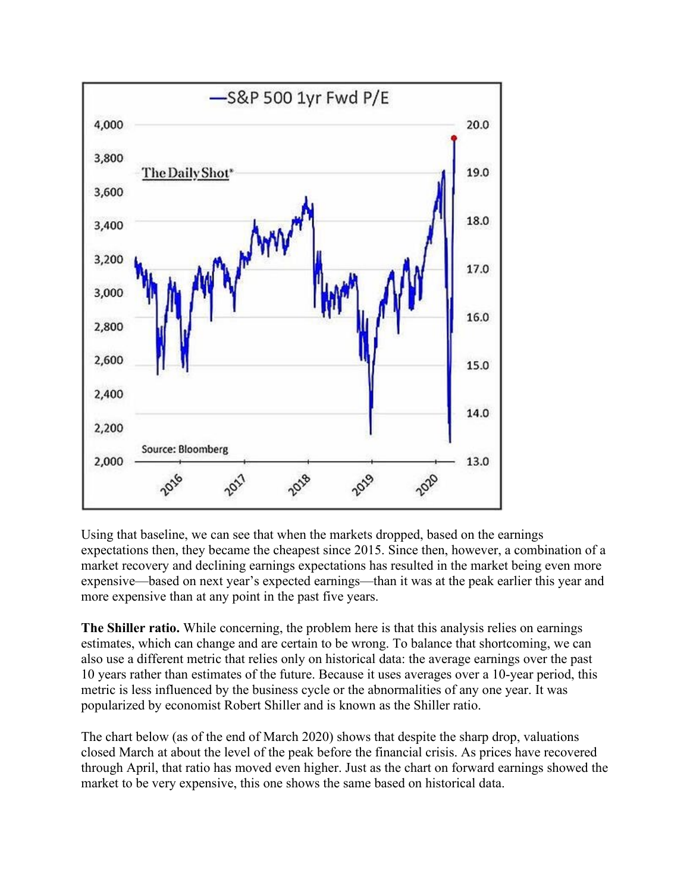

Using that baseline, we can see that when the markets dropped, based on the earnings expectations then, they became the cheapest since 2015. Since then, however, a combination of a market recovery and declining earnings expectations has resulted in the market being even more expensive—based on next year's expected earnings—than it was at the peak earlier this year and more expensive than at any point in the past five years.

**The Shiller ratio.** While concerning, the problem here is that this analysis relies on earnings estimates, which can change and are certain to be wrong. To balance that shortcoming, we can also use a different metric that relies only on historical data: the average earnings over the past 10 years rather than estimates of the future. Because it uses averages over a 10-year period, this metric is less influenced by the business cycle or the abnormalities of any one year. It was popularized by economist Robert Shiller and is known as the Shiller ratio.

The chart below (as of the end of March 2020) shows that despite the sharp drop, valuations closed March at about the level of the peak before the financial crisis. As prices have recovered through April, that ratio has moved even higher. Just as the chart on forward earnings showed the market to be very expensive, this one shows the same based on historical data.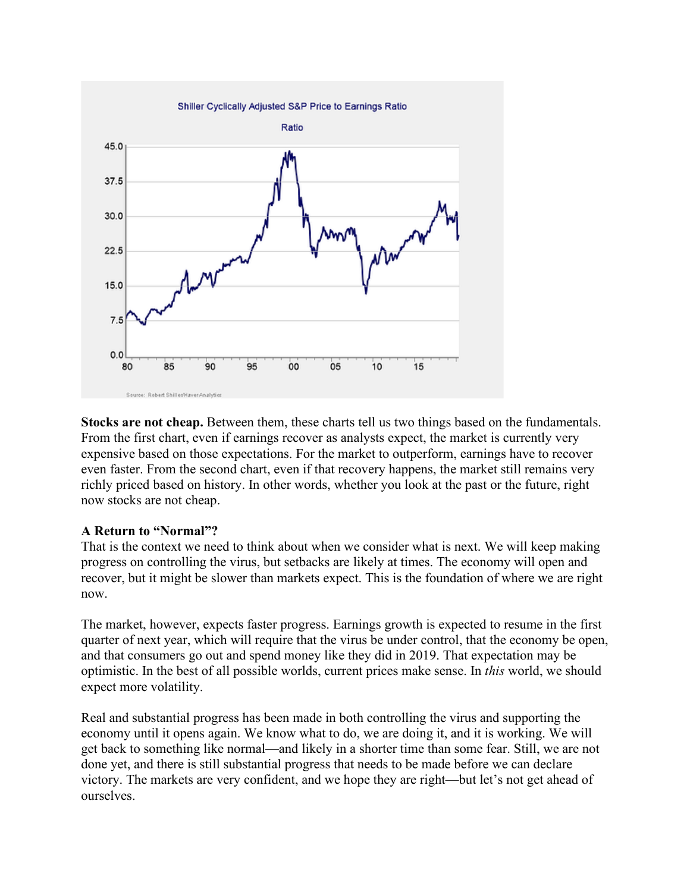

**Stocks are not cheap.** Between them, these charts tell us two things based on the fundamentals. From the first chart, even if earnings recover as analysts expect, the market is currently very expensive based on those expectations. For the market to outperform, earnings have to recover even faster. From the second chart, even if that recovery happens, the market still remains very richly priced based on history. In other words, whether you look at the past or the future, right now stocks are not cheap.

### **A Return to "Normal"?**

That is the context we need to think about when we consider what is next. We will keep making progress on controlling the virus, but setbacks are likely at times. The economy will open and recover, but it might be slower than markets expect. This is the foundation of where we are right now.

The market, however, expects faster progress. Earnings growth is expected to resume in the first quarter of next year, which will require that the virus be under control, that the economy be open, and that consumers go out and spend money like they did in 2019. That expectation may be optimistic. In the best of all possible worlds, current prices make sense. In *this* world, we should expect more volatility.

Real and substantial progress has been made in both controlling the virus and supporting the economy until it opens again. We know what to do, we are doing it, and it is working. We will get back to something like normal—and likely in a shorter time than some fear. Still, we are not done yet, and there is still substantial progress that needs to be made before we can declare victory. The markets are very confident, and we hope they are right—but let's not get ahead of ourselves.